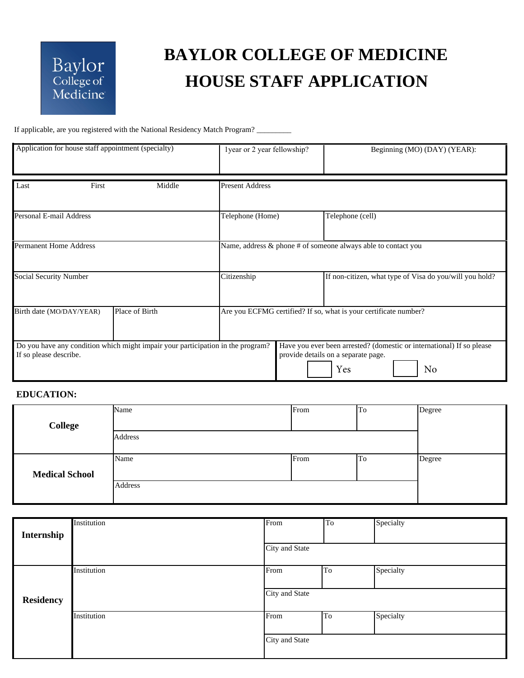## Baylor<br>College of<br>Medicine

## **BAYLOR COLLEGE OF MEDICINE HOUSE STAFF APPLICATION**

If applicable, are you registered with the National Residency Match Program? \_\_\_\_\_\_\_\_\_

| Application for house staff appointment (specialty) |                                                                                 | 1year or 2 year fellowship?                                      | Beginning (MO) (DAY) (YEAR):                                                                                              |  |
|-----------------------------------------------------|---------------------------------------------------------------------------------|------------------------------------------------------------------|---------------------------------------------------------------------------------------------------------------------------|--|
| First<br>Last                                       | Middle                                                                          | <b>Present Address</b>                                           |                                                                                                                           |  |
| Personal E-mail Address                             |                                                                                 | Telephone (Home)                                                 | Telephone (cell)                                                                                                          |  |
| <b>Permanent Home Address</b>                       |                                                                                 | Name, address & phone # of someone always able to contact you    |                                                                                                                           |  |
| <b>Social Security Number</b>                       |                                                                                 | Citizenship                                                      | If non-citizen, what type of Visa do you/will you hold?                                                                   |  |
| Birth date (MO/DAY/YEAR)                            | Place of Birth                                                                  | Are you ECFMG certified? If so, what is your certificate number? |                                                                                                                           |  |
| If so please describe.                              | Do you have any condition which might impair your participation in the program? |                                                                  | Have you ever been arrested? (domestic or international) If so please<br>provide details on a separate page.<br>Yes<br>No |  |

## **EDUCATION:**

|                       | Name    | From | To | Degree |
|-----------------------|---------|------|----|--------|
| <b>College</b>        |         |      |    |        |
|                       | Address |      |    |        |
|                       |         |      |    |        |
|                       | Name    | From | To | Degree |
| <b>Medical School</b> |         |      |    |        |
| Address               |         |      |    |        |
|                       |         |      |    |        |

| Internship       | Institution | From           | $T_{\rm o}$ | Specialty |
|------------------|-------------|----------------|-------------|-----------|
|                  |             | City and State |             |           |
|                  | Institution | From           | To          | Specialty |
| <b>Residency</b> |             | City and State |             |           |
|                  | Institution | From           | To          | Specialty |
|                  |             | City and State |             |           |